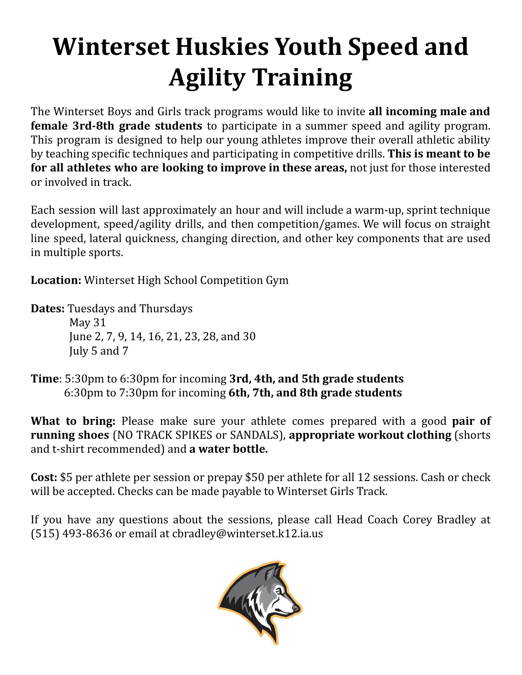## **Winterset Huskies Youth Speed and Agility Training**

The Winterset Boys and Girls track programs would like to invite **all incoming male and female 3rd-8th grade students** to participate in a summer speed and agility program. This program is designed to help our young athletes improve their overall athletic ability by teaching specific techniques and participating in competitive drills. **This is meant to be for all athletes who are looking to improve in these areas,** not just for those interested or involved in track.

Each session will last approximately an hour and will include a warm-up, sprint technique development, speed/agility drills, and then competition/games. We will focus on straight line speed, lateral quickness, changing direction, and other key components that are used in multiple sports.

**Location:** Winterset High School Competition Gym

**Dates:** Tuesdays and Thursdays

May 31 June 2, 7, 9, 14, 16, 21, 23, 28, and 30 July 5 and 7

**Time**: 5:30pm to 6:30pm for incoming **3rd, 4th, and 5th grade students** 6:30pm to 7:30pm for incoming **6th, 7th, and 8th grade students**

**What to bring:** Please make sure your athlete comes prepared with a good **pair of running shoes** (NO TRACK SPIKES or SANDALS), **appropriate workout clothing** (shorts and t-shirt recommended) and **a water bottle.**

**Cost:** \$5 per athlete per session or prepay \$50 per athlete for all 12 sessions. Cash or check will be accepted. Checks can be made payable to Winterset Girls Track.

If you have any questions about the sessions, please call Head Coach Corey Bradley at (515) 493-8636 or email at cbradley@winterset.k12.ia.u[s](mailto:jhenry@winterset.k12.ia.us)